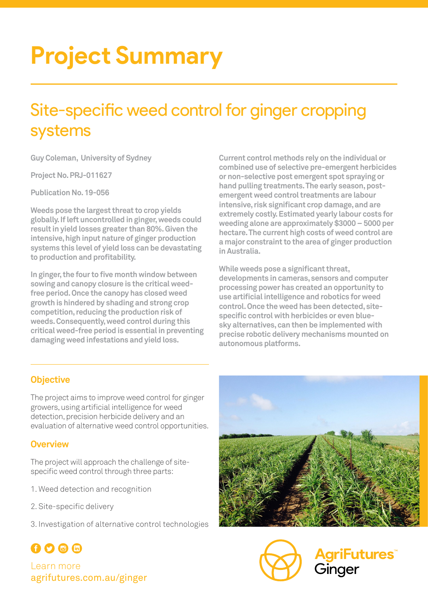# **Project Summary**

## Site-specific weed control for ginger cropping systems

**Guy Coleman, University of Sydney**

**Project No. PRJ-011627**

**Publication No. 19-056**

**Weeds pose the largest threat to crop yields globally. If left uncontrolled in ginger, weeds could result in yield losses greater than 80%. Given the intensive, high input nature of ginger production systems this level of yield loss can be devastating to production and profitability.**

**In ginger, the four to five month window between sowing and canopy closure is the critical weedfree period. Once the canopy has closed weed growth is hindered by shading and strong crop competition, reducing the production risk of weeds. Consequently, weed control during this critical weed-free period is essential in preventing damaging weed infestations and yield loss.** 

**Current control methods rely on the individual or combined use of selective pre-emergent herbicides or non-selective post emergent spot spraying or hand pulling treatments. The early season, postemergent weed control treatments are labour intensive, risk significant crop damage, and are extremely costly. Estimated yearly labour costs for weeding alone are approximately \$3000 – 5000 per hectare. The current high costs of weed control are a major constraint to the area of ginger production in Australia.** 

**While weeds pose a significant threat, developments in cameras, sensors and computer processing power has created an opportunity to use artificial intelligence and robotics for weed control. Once the weed has been detected, sitespecific control with herbicides or even bluesky alternatives, can then be implemented with precise robotic delivery mechanisms mounted on autonomous platforms.**

## **Objective**

The project aims to improve weed control for ginger growers, using artificial intelligence for weed detection, precision herbicide delivery and an evaluation of alternative weed control opportunities.

### **Overview**

The project will approach the challenge of sitespecific weed control through three parts:

- 1. Weed detection and recognition
- 2. Site-specific delivery
- 3. Investigation of alternative control technologies





griFutures™ Ginger

## 000m Learn more agrifutures.com.au/ginger